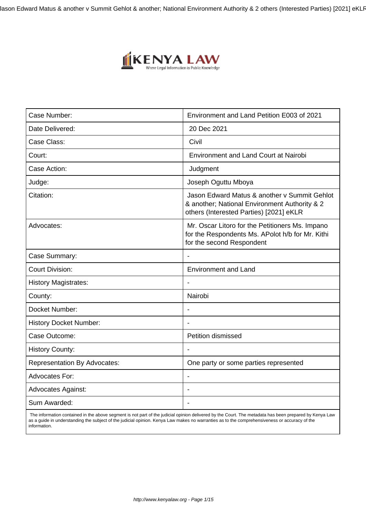Jason Edward Matus & another v Summit Gehlot & another; National Environment Authority & 2 others (Interested Parties) [2021] eKLR



| Case Number:                        | Environment and Land Petition E003 of 2021                                                                                               |
|-------------------------------------|------------------------------------------------------------------------------------------------------------------------------------------|
| Date Delivered:                     | 20 Dec 2021                                                                                                                              |
| Case Class:                         | Civil                                                                                                                                    |
| Court:                              | <b>Environment and Land Court at Nairobi</b>                                                                                             |
| Case Action:                        | Judgment                                                                                                                                 |
| Judge:                              | Joseph Oguttu Mboya                                                                                                                      |
| Citation:                           | Jason Edward Matus & another v Summit Gehlot<br>& another; National Environment Authority & 2<br>others (Interested Parties) [2021] eKLR |
| Advocates:                          | Mr. Oscar Litoro for the Petitioners Ms. Impano<br>for the Respondents Ms. APolot h/b for Mr. Kithi<br>for the second Respondent         |
| Case Summary:                       | $\blacksquare$                                                                                                                           |
| <b>Court Division:</b>              | <b>Environment and Land</b>                                                                                                              |
| <b>History Magistrates:</b>         |                                                                                                                                          |
| County:                             | Nairobi                                                                                                                                  |
| Docket Number:                      |                                                                                                                                          |
| <b>History Docket Number:</b>       |                                                                                                                                          |
| Case Outcome:                       | Petition dismissed                                                                                                                       |
| <b>History County:</b>              |                                                                                                                                          |
| <b>Representation By Advocates:</b> | One party or some parties represented                                                                                                    |
| <b>Advocates For:</b>               |                                                                                                                                          |
| <b>Advocates Against:</b>           |                                                                                                                                          |
| Sum Awarded:                        |                                                                                                                                          |

 The information contained in the above segment is not part of the judicial opinion delivered by the Court. The metadata has been prepared by Kenya Law as a guide in understanding the subject of the judicial opinion. Kenya Law makes no warranties as to the comprehensiveness or accuracy of the information.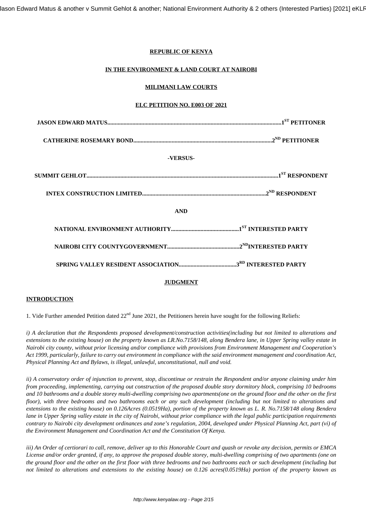# **REPUBLIC OF KENYA**

# **IN THE ENVIRONMENT & LAND COURT AT NAIROBI**

# **MILIMANI LAW COURTS**

# **ELC PETITION NO. E003 OF 2021**

| -VERSUS-   |  |
|------------|--|
|            |  |
|            |  |
| <b>AND</b> |  |
|            |  |
|            |  |
|            |  |
|            |  |

#### **JUDGMENT**

#### **INTRODUCTION**

1. Vide Further amended Petition dated  $22<sup>nd</sup>$  June 2021, the Petitioners herein have sought for the following Reliefs:

*i) A declaration that the Respondents proposed development/construction activities(including but not limited to alterations and extensions to the existing house) on the property known as LR.No.7158/148, along Bendera lane, in Upper Spring valley estate in Nairobi city county, without prior licensing and/or compliance with provisions from Environment Management and Cooperation's Act 1999, particularly, failure to carry out environment in compliance with the said environment management and coordination Act, Physical Planning Act and Bylaws, is illegal, unlawful, unconstitutional, null and void.*

*ii) A conservatory order of injunction to prevent, stop, discontinue or restrain the Respondent and/or anyone claiming under him from proceeding, implementing, carrying out construction of the proposed double story dormitory block, comprising 10 bedrooms and 10 bathrooms and a double storey multi-dwelling comprising two apartments(one on the ground floor and the other on the first floor), with three bedrooms and two bathrooms each or any such development (including but not limited to alterations and extensions to the existing house) on 0.126Acres (0.0519Ha), portion of the property known as L. R. No.7158/148 along Bendera lane in Upper Spring valley estate in the city of Nairobi, without prior compliance with the legal public participation requirements contrary to Nairobi city development ordinances and zone's regulation, 2004, developed under Physical Planning Act, part (vi) of the Environment Management and Coordination Act and the Constitution Of Kenya.*

*iii) An Order of certiorari to call, remove, deliver up to this Honorable Court and quash or revoke any decision, permits or EMCA License and/or order granted, if any, to approve the proposed double storey, multi-dwelling comprising of two apartments (one on the ground floor and the other on the first floor with three bedrooms and two bathrooms each or such development (including but not limited to alterations and extensions to the existing house) on 0.126 acres(0.0519Ha) portion of the property known as*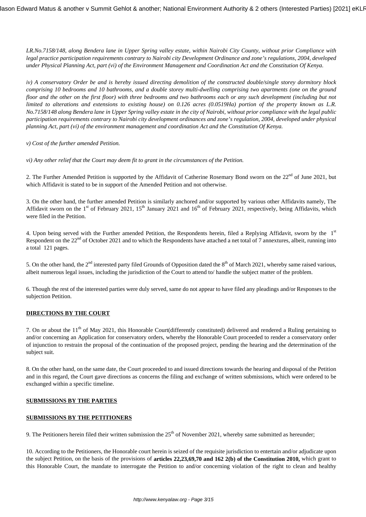*LR.No.7158/148, along Bendera lane in Upper Spring valley estate, within Nairobi City County, without prior Compliance with legal practice participation requirements contrary to Nairobi city Development Ordinance and zone's regulations, 2004, developed under Physical Planning Act, part (vi) of the Environment Management and Coordination Act and the Constitution Of Kenya.*

*iv) A conservatory Order be and is hereby issued directing demolition of the constructed double/single storey dormitory block comprising 10 bedrooms and 10 bathrooms, and a double storey multi-dwelling comprising two apartments (one on the ground floor and the other on the first floor) with three bedrooms and two bathrooms each or any such development (including but not limited to alterations and extensions to existing house) on 0.126 acres (0.0519Ha) portion of the property known as L.R. No.7158/148 along Bendera lane in Upper Spring valley estate in the city of Nairobi, without prior compliance with the legal public participation requirements contrary to Nairobi city development ordinances and zone's regulation, 2004, developed under physical planning Act, part (vi) of the environment management and coordination Act and the Constitution Of Kenya.*

*v) Cost of the further amended Petition.*

*vi) Any other relief that the Court may deem fit to grant in the circumstances of the Petition.*

2. The Further Amended Petition is supported by the Affidavit of Catherine Rosemary Bond sworn on the  $22<sup>nd</sup>$  of June 2021, but which Affidavit is stated to be in support of the Amended Petition and not otherwise.

3. On the other hand, the further amended Petition is similarly anchored and/or supported by various other Affidavits namely, The Affidavit sworn on the 1<sup>st</sup> of February 2021, 15<sup>th</sup> January 2021 and 16<sup>th</sup> of February 2021, respectively, being Affidavits, which were filed in the Petition.

4. Upon being served with the Further amended Petition, the Respondents herein, filed a Replying Affidavit, sworn by the 1st Respondent on the 22<sup>nd</sup> of October 2021 and to which the Respondents have attached a net total of 7 annextures, albeit, running into a total 121 pages.

5. On the other hand, the  $2^{nd}$  interested party filed Grounds of Opposition dated the  $8^{th}$  of March 2021, whereby same raised various, albeit numerous legal issues, including the jurisdiction of the Court to attend to/ handle the subject matter of the problem.

6. Though the rest of the interested parties were duly served, same do not appear to have filed any pleadings and/or Responses to the subjection Petition.

#### **DIRECTIONS BY THE COURT**

7. On or about the  $11<sup>th</sup>$  of May 2021, this Honorable Court(differently constituted) delivered and rendered a Ruling pertaining to and/or concerning an Application for conservatory orders, whereby the Honorable Court proceeded to render a conservatory order of injunction to restrain the proposal of the continuation of the proposed project, pending the hearing and the determination of the subject suit.

8. On the other hand, on the same date, the Court proceeded to and issued directions towards the hearing and disposal of the Petition and in this regard, the Court gave directions as concerns the filing and exchange of written submissions, which were ordered to be exchanged within a specific timeline.

#### **SUBMISSIONS BY THE PARTIES**

#### **SUBMISSIONS BY THE PETITIONERS**

9. The Petitioners herein filed their written submission the  $25<sup>th</sup>$  of November 2021, whereby same submitted as hereunder;

10. According to the Petitioners, the Honorable court herein is seized of the requisite jurisdiction to entertain and/or adjudicate upon the subject Petition, on the basis of the provisions of **articles 22,23,69,70 and 162 2(b) of the Constitution 2010,** which grant to this Honorable Court, the mandate to interrogate the Petition to and/or concerning violation of the right to clean and healthy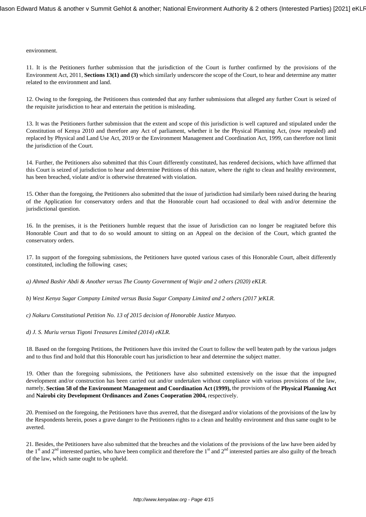#### environment.

11. It is the Petitioners further submission that the jurisdiction of the Court is further confirmed by the provisions of the Environment Act, 2011, **Sections 13(1) and (3)** which similarly underscore the scope of the Court, to hear and determine any matter related to the environment and land.

12. Owing to the foregoing, the Petitioners thus contended that any further submissions that alleged any further Court is seized of the requisite jurisdiction to hear and entertain the petition is misleading.

13. It was the Petitioners further submission that the extent and scope of this jurisdiction is well captured and stipulated under the Constitution of Kenya 2010 and therefore any Act of parliament, whether it be the Physical Planning Act, (now repealed) and replaced by Physical and Land Use Act, 2019 or the Environment Management and Coordination Act, 1999, can therefore not limit the jurisdiction of the Court.

14. Further, the Petitioners also submitted that this Court differently constituted, has rendered decisions, which have affirmed that this Court is seized of jurisdiction to hear and determine Petitions of this nature, where the right to clean and healthy environment, has been breached, violate and/or is otherwise threatened with violation.

15. Other than the foregoing, the Petitioners also submitted that the issue of jurisdiction had similarly been raised during the hearing of the Application for conservatory orders and that the Honorable court had occasioned to deal with and/or determine the jurisdictional question.

16. In the premises, it is the Petitioners humble request that the issue of Jurisdiction can no longer be reagitated before this Honorable Court and that to do so would amount to sitting on an Appeal on the decision of the Court, which granted the conservatory orders.

17. In support of the foregoing submissions, the Petitioners have quoted various cases of this Honorable Court, albeit differently constituted, including the following cases;

*a) Ahmed Bashir Abdi & Another versus The County Government of Wajir and 2 others (2020) eKLR.*

*b) West Kenya Sugar Company Limited versus Busia Sugar Company Limited and 2 others (2017 )eKLR.*

*c) Nakuru Constitutional Petition No. 13 of 2015 decision of Honorable Justice Munyao.*

*d) J. S. Muriu versus Tigoni Treasures Limited (2014) eKLR.*

18. Based on the foregoing Petitions, the Petitioners have this invited the Court to follow the well beaten path by the various judges and to thus find and hold that this Honorable court has jurisdiction to hear and determine the subject matter.

19. Other than the foregoing submissions, the Petitioners have also submitted extensively on the issue that the impugned development and/or construction has been carried out and/or undertaken without compliance with various provisions of the law, namely, **Section 58 of the Environment Management and Coordination Act (1999),** the provisions of the **Physical Planning Act** and **Nairobi city Development Ordinances and Zones Cooperation 2004,** respectively.

20. Premised on the foregoing, the Petitioners have thus averred, that the disregard and/or violations of the provisions of the law by the Respondents herein, poses a grave danger to the Petitioners rights to a clean and healthy environment and thus same ought to be averted.

21. Besides, the Petitioners have also submitted that the breaches and the violations of the provisions of the law have been aided by the  $1<sup>st</sup>$  and  $2<sup>nd</sup>$  interested parties, who have been complicit and therefore the  $1<sup>st</sup>$  and  $2<sup>nd</sup>$  interested parties are also guilty of the breach of the law, which same ought to be upheld.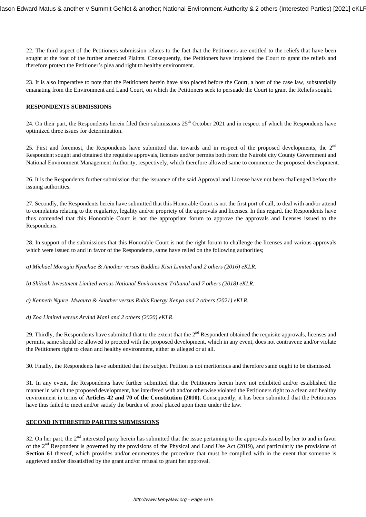22. The third aspect of the Petitioners submission relates to the fact that the Petitioners are entitled to the reliefs that have been sought at the foot of the further amended Plaints. Consequently, the Petitioners have implored the Court to grant the reliefs and therefore protect the Petitioner's plea and right to healthy environment.

23. It is also imperative to note that the Petitioners herein have also placed before the Court, a host of the case law, substantially emanating from the Environment and Land Court, on which the Petitioners seek to persuade the Court to grant the Reliefs sought.

#### **RESPONDENTS SUBMISSIONS**

24. On their part, the Respondents herein filed their submissions  $25<sup>th</sup>$  October 2021 and in respect of which the Respondents have optimized three issues for determination.

25. First and foremost, the Respondents have submitted that towards and in respect of the proposed developments, the 2<sup>nd</sup> Respondent sought and obtained the requisite approvals, licenses and/or permits both from the Nairobi city County Government and National Environment Management Authority, respectively, which therefore allowed same to commence the proposed development.

26. It is the Respondents further submission that the issuance of the said Approval and License have not been challenged before the issuing authorities.

27. Secondly, the Respondents herein have submitted that this Honorable Court is not the first port of call, to deal with and/or attend to complaints relating to the regularity, legality and/or propriety of the approvals and licenses. In this regard, the Respondents have thus contended that this Honorable Court is not the appropriate forum to approve the approvals and licenses issued to the Respondents.

28. In support of the submissions that this Honorable Court is not the right forum to challenge the licenses and various approvals which were issued to and in favor of the Respondents, same have relied on the following authorities;

*a) Michael Moragia Nyachae & Another versus Buddies Kisii Limited and 2 others (2016) eKLR.*

*b) Shiloah Investment Limited versus National Environment Tribunal and 7 others (2018) eKLR.*

*c) Kenneth Ngure Mwaura & Another versus Rubis Energy Kenya and 2 others (2021) eKLR.*

*d) Zoa Limited versus Arvind Mani and 2 others (2020) eKLR.*

29. Thirdly, the Respondents have submitted that to the extent that the  $2^{nd}$  Respondent obtained the requisite approvals, licenses and permits, same should be allowed to proceed with the proposed development, which in any event, does not contravene and/or violate the Petitioners right to clean and healthy environment, either as alleged or at all.

30. Finally, the Respondents have submitted that the subject Petition is not meritorious and therefore same ought to be dismissed.

31. In any event, the Respondents have further submitted that the Petitioners herein have not exhibited and/or established the manner in which the proposed development, has interfered with and/or otherwise violated the Petitioners right to a clean and healthy environment in terms of **Articles 42 and 70 of the Constitution (2010).** Consequently, it has been submitted that the Petitioners have thus failed to meet and/or satisfy the burden of proof placed upon them under the law.

# **SECOND INTERESTED PARTIES SUBMISSIONS**

32. On her part, the 2<sup>nd</sup> interested party herein has submitted that the issue pertaining to the approvals issued by her to and in favor of the 2nd Respondent is governed by the provisions of the Physical and Land Use Act (2019), and particularly the provisions of **Section 61** thereof, which provides and/or enumerates the procedure that must be complied with in the event that someone is aggrieved and/or dissatisfied by the grant and/or refusal to grant her approval.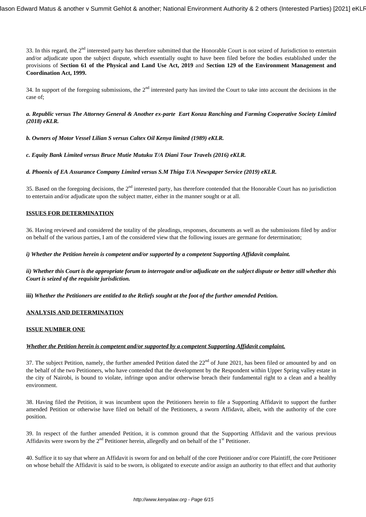33. In this regard, the  $2<sup>nd</sup>$  interested party has therefore submitted that the Honorable Court is not seized of Jurisdiction to entertain and/or adjudicate upon the subject dispute, which essentially ought to have been filed before the bodies established under the provisions of **Section 61 of the Physical and Land Use Act, 2019** and **Section 129 of the Environment Management and Coordination Act, 1999.**

34. In support of the foregoing submissions, the  $2<sup>nd</sup>$  interested party has invited the Court to take into account the decisions in the case of;

### *a. Republic versus The Attorney General & Another ex-parte Eart Konza Ranching and Farming Cooperative Society Limited (2018) eKLR.*

*b. Owners of Motor Vessel Lilian S versus Caltex Oil Kenya limited (1989) eKLR.*

*c. Equity Bank Limited versus Bruce Mutie Mutuku T/A Diani Tour Travels (2016) eKLR.*

*d. Phoenix of EA Assurance Company Limited versus S.M Thiga T/A Newspaper Service (2019) eKLR.*

35. Based on the foregoing decisions, the 2<sup>nd</sup> interested party, has therefore contended that the Honorable Court has no jurisdiction to entertain and/or adjudicate upon the subject matter, either in the manner sought or at all.

# **ISSUES FOR DETERMINATION**

36. Having reviewed and considered the totality of the pleadings, responses, documents as well as the submissions filed by and/or on behalf of the various parties, I am of the considered view that the following issues are germane for determination;

#### *i) Whether the Petition herein is competent and/or supported by a competent Supporting Affidavit complaint.*

*ii) Whether this Court is the appropriate forum to interrogate and/or adjudicate on the subject dispute or better still whether this Court is seized of the requisite jurisdiction.*

**iii)** *Whether the Petitioners are entitled to the Reliefs sought at the foot of the further amended Petition.*

### **ANALYSIS AND DETERMINATION**

#### **ISSUE NUMBER ONE**

### *Whether the Petition herein is competent and/or supported by a competent Supporting Affidavit complaint.*

37. The subject Petition, namely, the further amended Petition dated the  $22<sup>nd</sup>$  of June 2021, has been filed or amounted by and on the behalf of the two Petitioners, who have contended that the development by the Respondent within Upper Spring valley estate in the city of Nairobi, is bound to violate, infringe upon and/or otherwise breach their fundamental right to a clean and a healthy environment.

38. Having filed the Petition, it was incumbent upon the Petitioners herein to file a Supporting Affidavit to support the further amended Petition or otherwise have filed on behalf of the Petitioners, a sworn Affidavit, albeit, with the authority of the core position.

39. In respect of the further amended Petition, it is common ground that the Supporting Affidavit and the various previous Affidavits were sworn by the  $2<sup>nd</sup>$  Petitioner herein, allegedly and on behalf of the  $1<sup>st</sup>$  Petitioner.

40. Suffice it to say that where an Affidavit is sworn for and on behalf of the core Petitioner and/or core Plaintiff, the core Petitioner on whose behalf the Affidavit is said to be sworn, is obligated to execute and/or assign an authority to that effect and that authority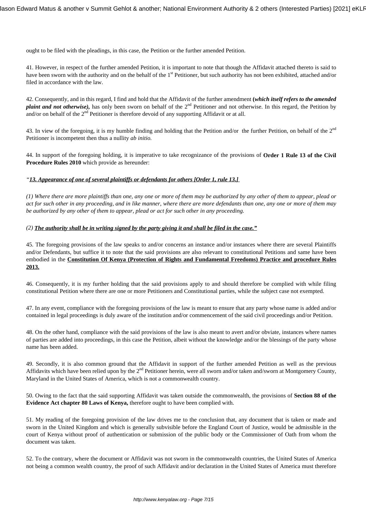ought to be filed with the pleadings, in this case, the Petition or the further amended Petition.

41. However, in respect of the further amended Petition, it is important to note that though the Affidavit attached thereto is said to have been sworn with the authority and on the behalf of the 1<sup>st</sup> Petitioner, but such authority has not been exhibited, attached and/or filed in accordance with the law.

42. Consequently, and in this regard, I find and hold that the Affidavit of the further amendment **(***which itself refers to the amended plaint and not otherwise*), has only been sworn on behalf of the 2<sup>nd</sup> Petitioner and not otherwise. In this regard, the Petition by and/or on behalf of the  $2<sup>nd</sup>$  Petitioner is therefore devoid of any supporting Affidavit or at all.

43. In view of the foregoing, it is my humble finding and holding that the Petition and/or the further Petition, on behalf of the  $2<sup>nd</sup>$ Petitioner is incompetent then thus a nullity *ab initio.*

44. In support of the foregoing holding, it is imperative to take recognizance of the provisions of **Order 1 Rule 13 of the Civil Procedure Rules 2010** which provide as hereunder:

#### *"13. Appearance of one of several plaintiffs or defendants for others [Order 1, rule 13.]*

*(1) Where there are more plaintiffs than one, any one or more of them may be authorized by any other of them to appear, plead or act for such other in any proceeding, and in like manner, where there are more defendants than one, any one or more of them may be authorized by any other of them to appear, plead or act for such other in any proceeding.* 

#### *(2) The authority shall be in writing signed by the party giving it and shall be filed in the case."*

45. The foregoing provisions of the law speaks to and/or concerns an instance and/or instances where there are several Plaintiffs and/or Defendants, but suffice it to note that the said provisions are also relevant to constitutional Petitions and same have been embodied in the **Constitution Of Kenya (Protection of Rights and Fundamental Freedoms) Practice and procedure Rules 2013.**

46. Consequently, it is my further holding that the said provisions apply to and should therefore be complied with while filing constitutional Petition where there are one or more Petitioners and Constitutional parties, while the subject case not exempted.

47. In any event, compliance with the foregoing provisions of the law is meant to ensure that any party whose name is added and/or contained in legal proceedings is duly aware of the institution and/or commencement of the said civil proceedings and/or Petition.

48. On the other hand, compliance with the said provisions of the law is also meant to avert and/or obviate, instances where names of parties are added into proceedings, in this case the Petition, albeit without the knowledge and/or the blessings of the party whose name has been added.

49. Secondly, it is also common ground that the Affidavit in support of the further amended Petition as well as the previous Affidavits which have been relied upon by the 2<sup>nd</sup> Petitioner herein, were all sworn and/or taken and/sworn at Montgomery County, Maryland in the United States of America, which is not a commonwealth country.

50. Owing to the fact that the said supporting Affidavit was taken outside the commonwealth, the provisions of **Section 88 of the Evidence Act chapter 80 Laws of Kenya,** therefore ought to have been complied with.

51. My reading of the foregoing provision of the law drives me to the conclusion that, any document that is taken or made and sworn in the United Kingdom and which is generally subvisible before the England Court of Justice, would be admissible in the court of Kenya without proof of authentication or submission of the public body or the Commissioner of Oath from whom the document was taken.

52. To the contrary, where the document or Affidavit was not sworn in the commonwealth countries, the United States of America not being a common wealth country, the proof of such Affidavit and/or declaration in the United States of America must therefore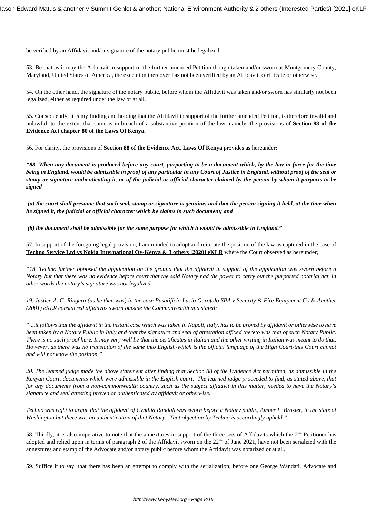be verified by an Affidavit and/or signature of the notary public must be legalized.

53. Be that as it may the Affidavit in support of the further amended Petition though taken and/or sworn at Montgomery County, Maryland, United States of America, the execution thereover has not been verified by an Affidavit, certificate or otherwise.

54. On the other hand, the signature of the notary public, before whom the Affidavit was taken and/or sworn has similarly not been legalized, either as required under the law or at all.

55. Consequently, it is my finding and holding that the Affidavit in support of the further amended Petition, is therefore invalid and unlawful, to the extent that same is in breach of a substantive position of the law, namely, the provisions of **Section 88 of the Evidence Act chapter 80 of the Laws Of Kenya.**

56. For clarity, the provisions of **Section 88 of the Evidence Act, Laws Of Kenya** provides as hereunder:

*"88. When any document is produced before any court, purporting to be a document which, by the law in force for the time being in England, would be admissible in proof of any particular in any Court of Justice in England, without proof of the seal or stamp or signature authenticating it, or of the judicial or official character claimed by the person by whom it purports to be signed–*

*(a) the court shall presume that such seal, stamp or signature is genuine, and that the person signing it held, at the time when he signed it, the judicial or official character which he claims in such document; and*

*(b) the document shall be admissible for the same purpose for which it would be admissible in England."*

57. In support of the foregoing legal provision, I am minded to adopt and reiterate the position of the law as captured in the case of **Techno Service Ltd vs Nokia International Oy-Kenya & 3 others [2020] eKLR** where the Court observed as hereunder*;*

*"18. Techno further opposed the application on the ground that the affidavit in support of the application was sworn before a Notary but that there was no evidence before court that the said Notary had the power to carry out the purported notarial act, in other words the notary's signature was not legalized.*

*19. Justice A. G. Ringera (as he then was) in the case Pasatificio Lucio Garofalo SPA v Security & Fire Equipment Co & Another (2001) eKLR considered affidavits sworn outside the Commonwealth and stated:*

*"....it follows that the affidavit in the instant case which was taken in Napoli, Italy, has to be proved by affidavit or otherwise to have been taken by a Notary Public in Italy and that the signature and seal of attestation affixed thereto was that of such Notary Public. There is no such proof here. It may very well be that the certificates in Italian and the other writing in Italian was meant to do that. However, as there was no translation of the same into English-which is the official language of the High Court-this Court cannot and will not know the position."*

*20. The learned judge made the above statement after finding that Section 88 of the Evidence Act permitted, as admissible in the Kenyan Court, documents which were admissible in the English court. The learned judge proceeded to find, as stated above, that for any documents from a non-commonwealth country, such as the subject affidavit in this matter, needed to have the Notary's signature and seal attesting proved or authenticated by affidavit or otherwise.*

*Techno was right to argue that the affidavit of Cynthia Randall was sworn before a Notary public, Amber L. Brazier, in the state of Washington but there was no authentication of that Notary. That objection by Techno is accordingly upheld."*

58. Thirdly, it is also imperative to note that the annextures in support of the three sets of Affidavits which the  $2<sup>nd</sup>$  Petitioner has adopted and relied upon in terms of paragraph 2 of the Affidavit sworn on the  $22<sup>nd</sup>$  of June 2021, have not been serialized with the annextures and stamp of the Advocate and/or notary public before whom the Affidavit was notarized or at all.

59. Suffice it to say, that there has been an attempt to comply with the serialization, before one George Wandati, Advocate and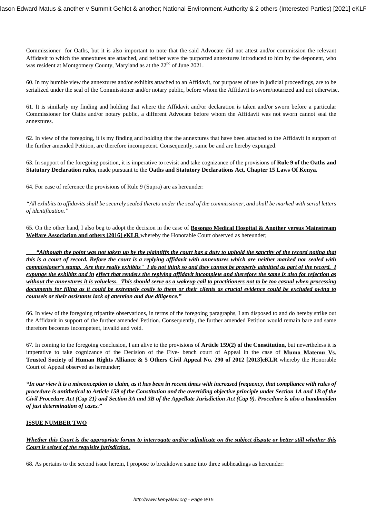Commissioner for Oaths, but it is also important to note that the said Advocate did not attest and/or commission the relevant Affidavit to which the annextures are attached, and neither were the purported annextures introduced to him by the deponent, who was resident at Montgomery County, Maryland as at the  $22<sup>nd</sup>$  of June 2021.

60. In my humble view the annextures and/or exhibits attached to an Affidavit, for purposes of use in judicial proceedings, are to be serialized under the seal of the Commissioner and/or notary public, before whom the Affidavit is sworn/notarized and not otherwise.

61. It is similarly my finding and holding that where the Affidavit and/or declaration is taken and/or sworn before a particular Commissioner for Oaths and/or notary public, a different Advocate before whom the Affidavit was not sworn cannot seal the annextures.

62. In view of the foregoing, it is my finding and holding that the annextures that have been attached to the Affidavit in support of the further amended Petition, are therefore incompetent. Consequently, same be and are hereby expunged.

63. In support of the foregoing position, it is imperative to revisit and take cognizance of the provisions of **Rule 9 of the Oaths and Statutory Declaration rules,** made pursuant to the **Oaths and Statutory Declarations Act, Chapter 15 Laws Of Kenya.**

64. For ease of reference the provisions of Rule 9 (Supra) are as hereunder:

*"All exhibits to affidavits shall be securely sealed thereto under the seal of the commissioner, and shall be marked with serial letters of identification."*

65. On the other hand, I also beg to adopt the decision in the case of **Bosongo Medical Hospital & Another versus Mainstream Welfare Association and others [2016] eKLR** whereby the Honorable Court observed as hereunder;

 *"Although the point was not taken up by the plaintiffs the court has a duty to uphold the sanctity of the record noting that this is a court of record. Before the court is a replying affidavit with annextures which are neither marked nor sealed with commissioner's stamp. Are they really exhibits" I do not think so and they cannot be properly admitted as part of the record. I expunge the exhibits and in effect that renders the replying affidavit incomplete and therefore the same is also for rejection as without the annextures it is valueless. This should serve as a wakeup call to practitioners not to be too casual when processing documents for filing as it could be extremely costly to them or their clients as crucial evidence could be excluded owing to counsels or their assistants lack of attention and due diligence."*

66. In view of the foregoing tripartite observations, in terms of the foregoing paragraphs, I am disposed to and do hereby strike out the Affidavit in support of the further amended Petition. Consequently, the further amended Petition would remain bare and same therefore becomes incompetent, invalid and void.

67. In coming to the foregoing conclusion, I am alive to the provisions of **Article 159(2) of the Constitution,** but nevertheless it is imperative to take cognizance of the Decision of the Five- bench court of Appeal in the case of **Mumo Matemu Vs. Trusted Society of Human Rights Alliance & 5 Others Civil Appeal No. 290 of 2012 [2013]eKLR** whereby the Honorable Court of Appeal observed as hereunder;

*"In our view it is a misconception to claim, as it has been in recent times with increased frequency, that compliance with rules of procedure is antithetical to Article 159 of the Constitution and the overriding objective principle under Section 1A and 1B of the Civil Procedure Act (Cap 21) and Section 3A and 3B of the Appellate Jurisdiction Act (Cap 9). Procedure is also a handmaiden of just determination of cases."*

# **ISSUE NUMBER TWO**

*Whether this Court is the appropriate forum to interrogate and/or adjudicate on the subject dispute or better still whether this Court is seized of the requisite jurisdiction.*

68. As pertains to the second issue herein, I propose to breakdown same into three subheadings as hereunder: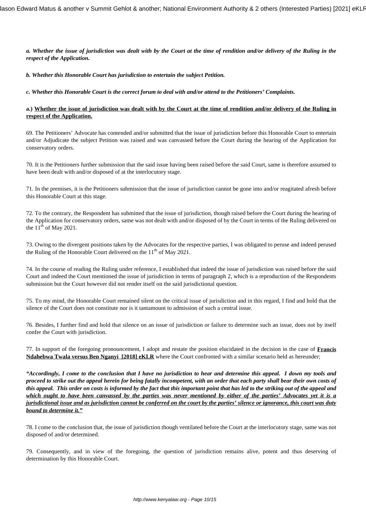*a. Whether the issue of jurisdiction was dealt with by the Court at the time of rendition and/or delivery of the Ruling in the respect of the Application.*

*b. Whether this Honorable Court has jurisdiction to entertain the subject Petition.*

*c. Whether this Honorable Court is the correct forum to deal with and/or attend to the Petitioners' Complaints.*

#### **a.) Whether the issue of jurisdiction was dealt with by the Court at the time of rendition and/or delivery of the Ruling in respect of the Application.**

69. The Petitioners' Advocate has contended and/or submitted that the issue of jurisdiction before this Honorable Court to entertain and/or Adjudicate the subject Petition was raised and was canvassed before the Court during the hearing of the Application for conservatory orders.

70. It is the Petitioners further submission that the said issue having been raised before the said Court, same is therefore assumed to have been dealt with and/or disposed of at the interlocutory stage.

71. In the premises, it is the Petitioners submission that the issue of jurisdiction cannot be gone into and/or reagitated afresh before this Honorable Court at this stage.

72. To the contrary, the Respondent has submitted that the issue of jurisdiction, though raised before the Court during the hearing of the Application for conservatory orders, same was not dealt with and/or disposed of by the Court in terms of the Ruling delivered on the  $11<sup>th</sup>$  of May 2021.

73. Owing to the divergent positions taken by the Advocates for the respective parties, I was obligated to peruse and indeed perused the Ruling of the Honorable Court delivered on the  $11<sup>th</sup>$  of May 2021.

74. In the course of reading the Ruling under reference, I established that indeed the issue of jurisdiction was raised before the said Court and indeed the Court mentioned the issue of jurisdiction in terms of paragraph 2, which is a reproduction of the Respondents submission but the Court however did not render itself on the said jurisdictional question.

75. To my mind, the Honorable Court remained silent on the critical issue of jurisdiction and in this regard, I find and hold that the silence of the Court does not constitute nor is it tantamount to admission of such a central issue.

76. Besides, I further find and hold that silence on an issue of jurisdiction or failure to determine such an issue, does not by itself confer the Court with jurisdiction.

77. In support of the foregoing pronouncement, I adopt and restate the position elucidated in the decision in the case of **Francis Ndahebwa Twala versus Ben Nganyi [2018] eKLR** where the Court confronted with a similar scenario held as hereunder;

*"Accordingly, I come to the conclusion that I have no jurisdiction to hear and determine this appeal. I down my tools and proceed to strike out the appeal herein for being fatally incompetent, with an order that each party shall bear their own costs of this appeal. This order on costs is informed by the fact that this important point that has led to the striking out of the appeal and which ought to have been canvassed by the parties was never mentioned by either of the parties' Advocates yet it is a jurisdictional issue and as jurisdiction cannot be conferred on the court by the parties' silence or ignorance, this court was duty bound to determine it."*

78. I come to the conclusion that, the issue of jurisdiction though ventilated before the Court at the interlocutory stage, same was not disposed of and/or determined.

79. Consequently, and in view of the foregoing, the question of jurisdiction remains alive, potent and thus deserving of determination by this Honorable Court.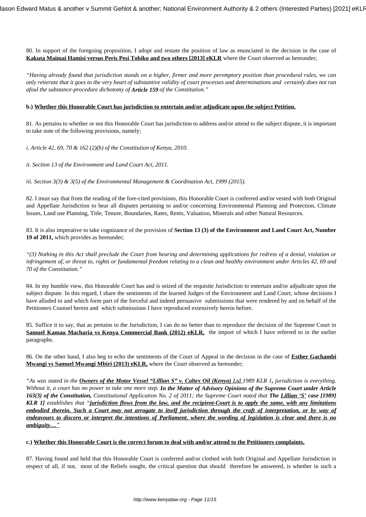80. In support of the foregoing proposition, I adopt and restate the position of law as enunciated in the decision in the case of **Kakuta Maimai Hamisi versus Peris Pesi Tobiko and two others [2013] eKLR** where the Court observed as hereunder;

*"Having already found that jurisdiction stands on a higher, firmer and more peremptory position than procedural rules, we can only reiterate that it goes to the very heart of substantive validity of court processes and determinations and certainly does not run afoul the substance-procedure dichotomy of Article 159 of the Constitution."*

#### **b.) Whether this Honorable Court has jurisdiction to entertain and/or adjudicate upon the subject Petition.**

81. As pertains to whether or not this Honorable Court has jurisdiction to address and/or attend to the subject dispute, it is important to take note of the following provisions, namely;

*i. Article 42, 69, 70 & 162 (2)(b) of the Constitution of Kenya, 2010.*

*ii. Section 13 of the Environment and Land Court Act, 2011.*

*iii. Section 3(3) & 3(5) of the Environmental Management & Coordination Act, 1999 (2015).*

82. I must say that from the reading of the fore-cited provisions, this Honorable Court is conferred and/or vested with both Original and Appellate Jurisdiction to hear all disputes pertaining to and/or concerning Environmental Planning and Protection, Climate Issues, Land use Planning, Title, Tenure, Boundaries, Rates, Rents, Valuation, Minerals and other Natural Resources.

83. It is also imperative to take cognizance of the provision of **Section 13 (3) of the Environment and Land Court Act, Number 19 of 2011,** which provides as hereunder;

*"(3) Nothing in this Act shall preclude the Court from hearing and determining applications for redress of a denial, violation or infringement of, or threat to, rights or fundamental freedom relating to a clean and healthy environment under Articles 42, 69 and 70 of the Constitution."*

84. In my humble view, this Honorable Court has and is seized of the requisite Jurisdiction to entertain and/or adjudicate upon the subject dispute. In this regard, I share the sentiments of the learned Judges of the Environment and Land Court, whose decisions I have alluded to and which form part of the forceful and indeed persuasive submissions that were rendered by and on behalf of the Petitioners Counsel herein and which submissions I have reproduced extensively herein before.

85. Suffice it to say, that as pertains to the Jurisdiction, I can do no better than to reproduce the decision of the Supreme Court in **Samuel Kamau Macharia vs Kenya Commercial Bank (2012) eKLR,** the import of which I have referred to in the earlier paragraphs.

86. On the other hand, I also beg to echo the sentiments of the Court of Appeal in the decision in the case of **Esther Gachambi Mwangi vs Samuel Mwangi Mbiri (2013) eKLR,** where the Court observed as hereunder;

"As was stated in the **Owners of the Motor Vessel "Lillian S" v. Caltex Oil (Kenya) Ltd 1989 KLR 1, jurisdiction is everything.** *Without it, a court has no power to take one more step. In the Matter of Advisory Opinions of the Supreme Court under Article 163(3) of the Constitution, Constitutional Application No. 2 of 2011; the Supreme Court noted that The Lillian 'S' case [1989] KLR 1] establishes that "jurisdiction flows from the law, and the recipient-Court is to apply the same, with any limitations embodied therein. Such a Court may not arrogate to itself jurisdiction through the craft of interpretation, or by way of endeavours to discern or interpret the intentions of Parliament, where the wording of legislation is clear and there is no ambiguity…"*

#### **c.) Whether this Honorable Court is the correct forum to deal with and/or attend to the Petitioners complaints.**

87. Having found and held that this Honorable Court is conferred and/or clothed with both Original and Appellate Jurisdiction in respect of all, if not, most of the Reliefs sought, the critical question that should therefore be answered, is whether in such a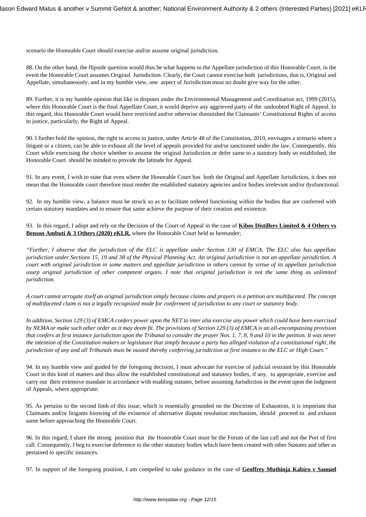scenario the Honorable Court should exercise and/or assume original jurisdiction.

88. On the other hand, the flipside question would thus be what happens to the Appellate jurisdiction of this Honorable Court, in the event the Honorable Court assumes Original Jurisdiction. Clearly, the Court cannot exercise both jurisdictions, that is, Original and Appellate, simultaneously, and in my humble view, one aspect of Jurisdiction must no doubt give way for the other.

89. Further, it is my humble opinion that like in disputes under the Environmental Management and Coordination act, 1999 (2015), where this Honorable Court is the final Appellate Court, it would deprive any aggrieved party of the undoubted Right of Appeal. In this regard, this Honorable Court would have restricted and/or otherwise diminished the Claimants' Constitutional Rights of access to justice, particularly, the Right of Appeal.

90. I further hold the opinion, the right to access to justice, under Article 48 of the Constitution, 2010, envisages a scenario where a litigant or a citizen, can be able to exhaust all the level of appeals provided for and/or sanctioned under the law. Consequently, this Court while exercising the choice whether to assume the original Jurisdiction or defer same to a statutory body so established, the Honorable Court should be minded to provide the latitude for Appeal.

91. In any event, I wish to state that even where the Honorable Court has both the Original and Appellate Jurisdiction, it does not mean that the Honorable court therefore must render the established statutory agencies and/or bodies irrelevant and/or dysfunctional.

92. In my humble view, a balance must be struck so as to facilitate ordered functioning within the bodies that are conferred with certain statutory mandates and to ensure that same achieve the purpose of their creation and existence.

93. In this regard, I adopt and rely on the Decision of the Court of Appeal in the case of **Kibos Distillers Limited & 4 Others vs Benson Ambuti & 3 Others (2020) eKLR,** where the Honorable Court held as hereunder;

*"Further, I observe that the jurisdiction of the ELC is appellate under Section 130 of EMCA. The ELC also has appellate jurisdiction under Sections 15, 19 and 38 of the Physical Planning Act. An original jurisdiction is not an appellate jurisdiction. A court with original jurisdiction in some matters and appellate jurisdiction in others cannot by virtue of its appellate jurisdiction usurp original jurisdiction of other competent organs. I note that original jurisdiction is not the same thing as unlimited jurisdiction.* 

*A court cannot arrogate itself an original jurisdiction simply because claims and prayers in a petition are multifaceted. The concept of multifaceted claim is not a legally recognized mode for conferment of jurisdiction to any court or statutory body.*

*In addition, Section 129 (3) of EMCA confers power upon the NET to inter alia exercise any power which could have been exercised by NEMA or make such other order as it may deem fit. The provisions of Section 129 (3) of EMCA is an all-encompassing provision that confers at first instance jurisdiction upon the Tribunal to consider the prayer Nos. 1, 7, 8, 9 and 10 in the petition. It was never the intention of the Constitution makers or legislature that simply because a party has alleged violation of a constitutional right, the jurisdiction of any and all Tribunals must be ousted thereby conferring jurisdiction at first instance to the ELC or High Court."*

94. In my humble view and guided by the foregoing decision, I must advocate for exercise of judicial restraint by this Honorable Court in this kind of matters and thus allow the established constitutional and statutory bodies, if any, to appropriate, exercise and carry out their extensive mandate in accordance with enabling statutes, before assuming Jurisdiction in the event upon the lodgment of Appeals, where appropriate.

95. As pertains to the second limb of this issue, which is essentially grounded on the Doctrine of Exhaustion, it is important that Claimants and/or litigants knowing of the existence of alternative dispute resolution mechanism, should proceed to and exhaust same before approaching the Honorable Court.

96. In this regard, I share the strong position that the Honorable Court must be the Forum of the last call and not the Port of first call. Consequently, I beg to exercise deference to the other statutory bodies which have been created with other Statutes and other as pertained to specific instances.

97. In support of the foregoing position, I am compelled to take guidance in the case of **Geoffrey Muthinja Kabiro v Samuel**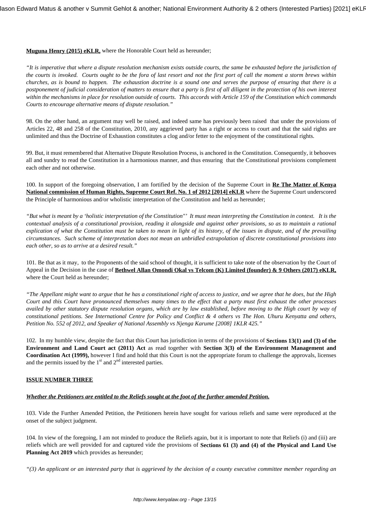#### **Muguna Henry (2015) eKLR,** where the Honorable Court held as hereunder;

*"It is imperative that where a dispute resolution mechanism exists outside courts, the same be exhausted before the jurisdiction of the courts is invoked. Courts ought to be the fora of last resort and not the first port of call the moment a storm brews within churches, as is bound to happen. The exhaustion doctrine is a sound one and serves the purpose of ensuring that there is a postponement of judicial consideration of matters to ensure that a party is first of all diligent in the protection of his own interest within the mechanisms in place for resolution outside of courts. This accords with Article 159 of the Constitution which commands Courts to encourage alternative means of dispute resolution."*

98. On the other hand, an argument may well be raised, and indeed same has previously been raised that under the provisions of Articles 22, 48 and 258 of the Constitution, 2010, any aggrieved party has a right or access to court and that the said rights are unlimited and thus the Doctrine of Exhaustion constitutes a clog and/or fetter to the enjoyment of the constitutional rights.

99. But, it must remembered that Alternative Dispute Resolution Process, is anchored in the Constitution. Consequently, it behooves all and sundry to read the Constitution in a harmonious manner, and thus ensuring that the Constitutional provisions complement each other and not otherwise.

100. In support of the foregoing observation, I am fortified by the decision of the Supreme Court in **Re The Matter of Kenya National commission of Human Rights, Supreme Court Ref. No. 1 of 2012 [2014] eKLR** where the Supreme Court underscored the Principle of harmonious and/or wholistic interpretation of the Constitution and held as hereunder;

*"But what is meant by a 'holistic interpretation of the Constitution"' It must mean interpreting the Constitution in context. It is the contextual analysis of a constitutional provision, reading it alongside and against other provisions, so as to maintain a rational explication of what the Constitution must be taken to mean in light of its history, of the issues in dispute, and of the prevailing circumstances. Such scheme of interpretation does not mean an unbridled extrapolation of discrete constitutional provisions into each other, so as to arrive at a desired result."*

101. Be that as it may, to the Proponents of the said school of thought, it is sufficient to take note of the observation by the Court of Appeal in the Decision in the case of **Bethwel Allan Omondi Okal vs Telcom (K) Limited (founder) & 9 Others (2017) eKLR,** where the Court held as hereunder;

*"The Appellant might want to argue that he has a constitutional right of access to justice, and we agree that he does, but the High Court and this Court have pronounced themselves many times to the effect that a party must first exhaust the other processes availed by other statutory dispute resolution organs, which are by law established, before moving to the High court by way of constitutional petitions. See International Centre for Policy and Conflict & 4 others vs The Hon. Uhuru Kenyatta and others, Petition No. 552 of 2012, and Speaker of National Assembly vs Njenga Karume [2008] 1KLR 425."*

102. In my humble view, despite the fact that this Court has jurisdiction in terms of the provisions of **Sections 13(1) and (3) of the Environment and Land Court act (2011) Act** as read together with **Section 3(3) of the Environment Management and Coordination Act (1999),** however I find and hold that this Court is not the appropriate forum to challenge the approvals, licenses and the permits issued by the  $1<sup>st</sup>$  and  $2<sup>nd</sup>$  interested parties.

### **ISSUE NUMBER THREE**

#### *Whether the Petitioners are entitled to the Reliefs sought at the foot of the further amended Petition.*

103. Vide the Further Amended Petition, the Petitioners herein have sought for various reliefs and same were reproduced at the onset of the subject judgment.

104. In view of the foregoing, I am not minded to produce the Reliefs again, but it is important to note that Reliefs (i) and (iii) are reliefs which are well provided for and captured vide the provisions of **Sections 61 (3) and (4) of the Physical and Land Use Planning Act 2019** which provides as hereunder;

*"(3) An applicant or an interested party that is aggrieved by the decision of a county executive committee member regarding an*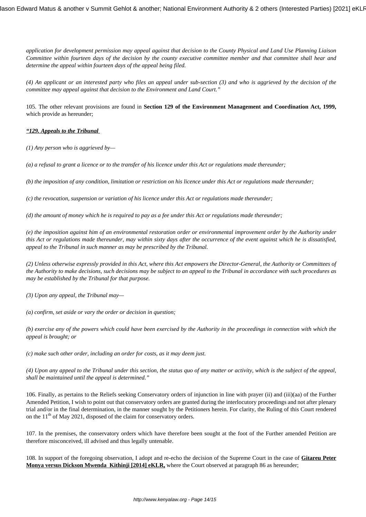*application for development permission may appeal against that decision to the County Physical and Land Use Planning Liaison Committee within fourteen days of the decision by the county executive committee member and that committee shall hear and determine the appeal within fourteen days of the appeal being filed.* 

*(4) An applicant or an interested party who files an appeal under sub-section (3) and who is aggrieved by the decision of the committee may appeal against that decision to the Environment and Land Court."*

105. The other relevant provisions are found in **Section 129 of the Environment Management and Coordination Act, 1999,** which provide as hereunder;

# *"129. Appeals to the Tribunal*

*(1) Any person who is aggrieved by—* 

*(a) a refusal to grant a licence or to the transfer of his licence under this Act or regulations made thereunder;* 

*(b) the imposition of any condition, limitation or restriction on his licence under this Act or regulations made thereunder;*

*(c) the revocation, suspension or variation of his licence under this Act or regulations made thereunder;* 

*(d) the amount of money which he is required to pay as a fee under this Act or regulations made thereunder;* 

*(e) the imposition against him of an environmental restoration order or environmental improvement order by the Authority under this Act or regulations made thereunder, may within sixty days after the occurrence of the event against which he is dissatisfied, appeal to the Tribunal in such manner as may be prescribed by the Tribunal.* 

*(2) Unless otherwise expressly provided in this Act, where this Act empowers the Director-General, the Authority or Committees of the Authority to make decisions, such decisions may be subject to an appeal to the Tribunal in accordance with such procedures as may be established by the Tribunal for that purpose.* 

*(3) Upon any appeal, the Tribunal may—* 

*(a) confirm, set aside or vary the order or decision in question;* 

*(b) exercise any of the powers which could have been exercised by the Authority in the proceedings in connection with which the appeal is brought; or* 

*(c) make such other order, including an order for costs, as it may deem just.* 

*(4) Upon any appeal to the Tribunal under this section, the status quo of any matter or activity, which is the subject of the appeal, shall be maintained until the appeal is determined."*

106. Finally, as pertains to the Reliefs seeking Conservatory orders of injunction in line with prayer (ii) and (iii)(aa) of the Further Amended Petition, I wish to point out that conservatory orders are granted during the interlocutory proceedings and not after plenary trial and/or in the final determination, in the manner sought by the Petitioners herein. For clarity, the Ruling of this Court rendered on the  $11<sup>th</sup>$  of May 2021, disposed of the claim for conservatory orders.

107. In the premises, the conservatory orders which have therefore been sought at the foot of the Further amended Petition are therefore misconceived, ill advised and thus legally untenable.

108. In support of the foregoing observation, I adopt and re-echo the decision of the Supreme Court in the case of **Gitareu Peter Monya versus Dickson Mwenda Kithinji [2014] eKLR**, where the Court observed at paragraph 86 as hereunder;